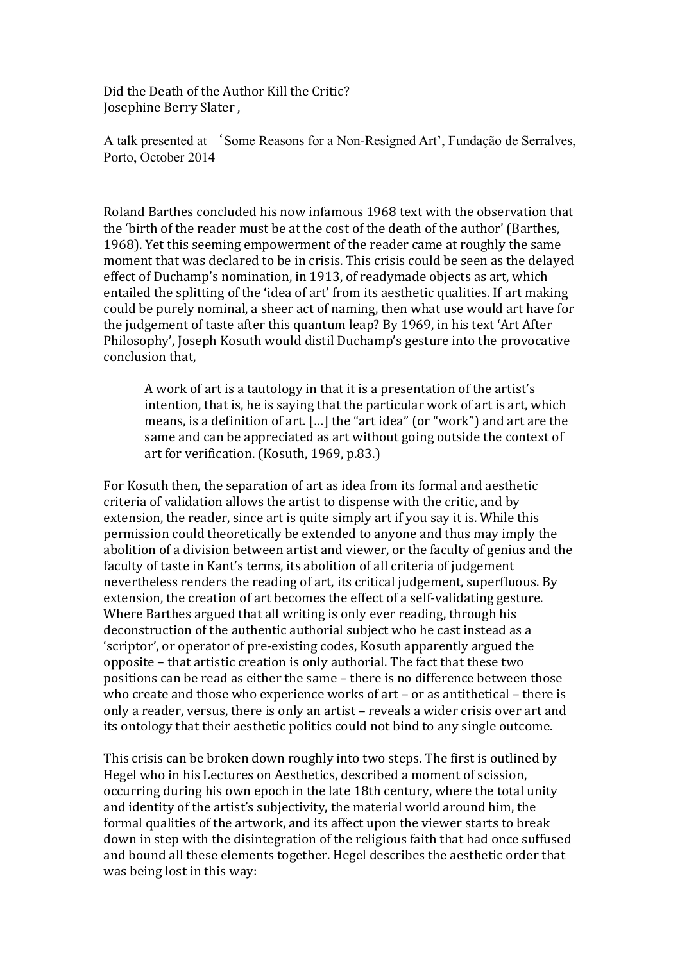Did the Death of the Author Kill the Critic? Josephine Berry Slater,

A talk presented at 'Some Reasons for a Non-Resigned Art', Fundação de Serralves, Porto. October 2014

Roland Barthes concluded his now infamous 1968 text with the observation that the 'birth of the reader must be at the cost of the death of the author' (Barthes, 1968). Yet this seeming empowerment of the reader came at roughly the same moment that was declared to be in crisis. This crisis could be seen as the delayed effect of Duchamp's nomination, in 1913, of readymade objects as art, which entailed the splitting of the 'idea of art' from its aesthetic qualities. If art making could be purely nominal, a sheer act of naming, then what use would art have for the judgement of taste after this quantum leap? By 1969, in his text 'Art After Philosophy', Joseph Kosuth would distil Duchamp's gesture into the provocative conclusion that.

A work of art is a tautology in that it is a presentation of the artist's intention, that is, he is saying that the particular work of art is art, which means, is a definition of art. [...] the "art idea" (or "work") and art are the same and can be appreciated as art without going outside the context of art for verification. (Kosuth, 1969, p.83.)

For Kosuth then, the separation of art as idea from its formal and aesthetic criteria of validation allows the artist to dispense with the critic, and by extension, the reader, since art is quite simply art if you say it is. While this permission could theoretically be extended to anyone and thus may imply the abolition of a division between artist and viewer, or the faculty of genius and the faculty of taste in Kant's terms, its abolition of all criteria of judgement nevertheless renders the reading of art, its critical judgement, superfluous. By extension, the creation of art becomes the effect of a self-validating gesture. Where Barthes argued that all writing is only ever reading, through his deconstruction of the authentic authorial subject who he cast instead as a 'scriptor', or operator of pre-existing codes, Kosuth apparently argued the opposite - that artistic creation is only authorial. The fact that these two positions can be read as either the same – there is no difference between those who create and those who experience works of art - or as antithetical - there is only a reader, versus, there is only an artist - reveals a wider crisis over art and its ontology that their aesthetic politics could not bind to any single outcome.

This crisis can be broken down roughly into two steps. The first is outlined by Hegel who in his Lectures on Aesthetics, described a moment of scission, occurring during his own epoch in the late 18th century, where the total unity and identity of the artist's subjectivity, the material world around him, the formal qualities of the artwork, and its affect upon the viewer starts to break down in step with the disintegration of the religious faith that had once suffused and bound all these elements together. Hegel describes the aesthetic order that was being lost in this way: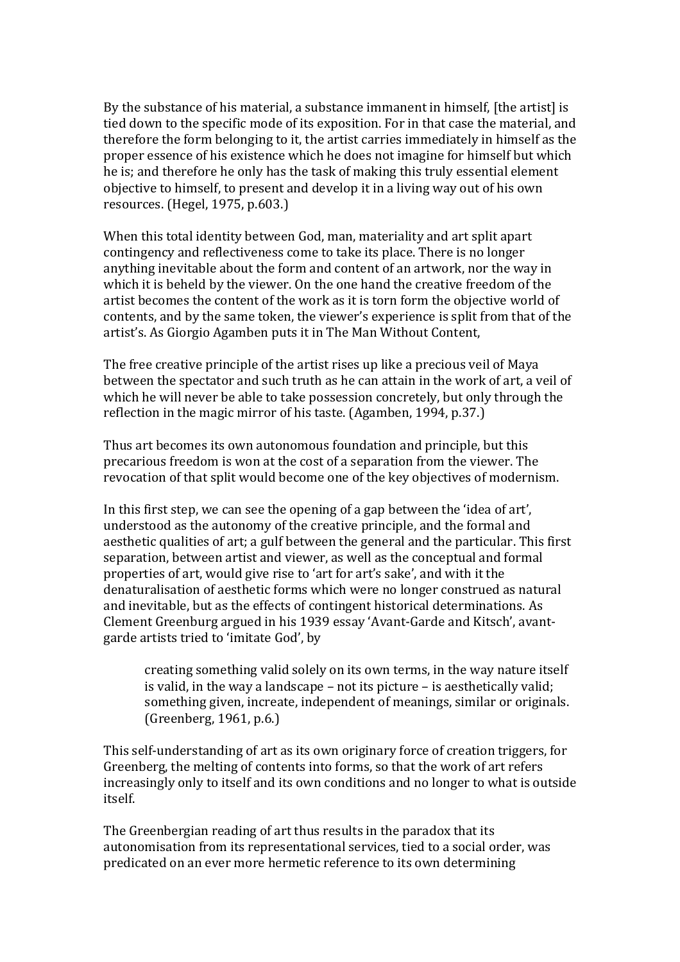By the substance of his material, a substance immanent in himself, [the artist] is tied down to the specific mode of its exposition. For in that case the material, and therefore the form belonging to it, the artist carries immediately in himself as the proper essence of his existence which he does not imagine for himself but which he is; and therefore he only has the task of making this truly essential element objective to himself, to present and develop it in a living way out of his own resources. (Hegel, 1975, p.603.)

When this total identity between God, man, materiality and art split apart contingency and reflectiveness come to take its place. There is no longer anything inevitable about the form and content of an artwork, nor the way in which it is beheld by the viewer. On the one hand the creative freedom of the artist becomes the content of the work as it is torn form the objective world of contents, and by the same token, the viewer's experience is split from that of the artist's. As Giorgio Agamben puts it in The Man Without Content,

The free creative principle of the artist rises up like a precious veil of Maya between the spectator and such truth as he can attain in the work of art, a veil of which he will never be able to take possession concretely, but only through the reflection in the magic mirror of his taste. (Agamben, 1994, p.37.)

Thus art becomes its own autonomous foundation and principle, but this precarious freedom is won at the cost of a separation from the viewer. The revocation of that split would become one of the key objectives of modernism.

In this first step, we can see the opening of a gap between the 'idea of art', understood as the autonomy of the creative principle, and the formal and aesthetic qualities of art; a gulf between the general and the particular. This first separation, between artist and viewer, as well as the conceptual and formal properties of art, would give rise to 'art for art's sake', and with it the denaturalisation of aesthetic forms which were no longer construed as natural and inevitable, but as the effects of contingent historical determinations. As Clement Greenburg argued in his 1939 essay 'Avant-Garde and Kitsch', avantgarde artists tried to 'imitate God', by

creating something valid solely on its own terms, in the way nature itself is valid, in the way a landscape – not its picture – is aesthetically valid; something given, increate, independent of meanings, similar or originals. (Greenberg, 1961, p.6.)

This self-understanding of art as its own originary force of creation triggers, for Greenberg, the melting of contents into forms, so that the work of art refers increasingly only to itself and its own conditions and no longer to what is outside itself.

The Greenbergian reading of art thus results in the paradox that its autonomisation from its representational services, tied to a social order, was predicated on an ever more hermetic reference to its own determining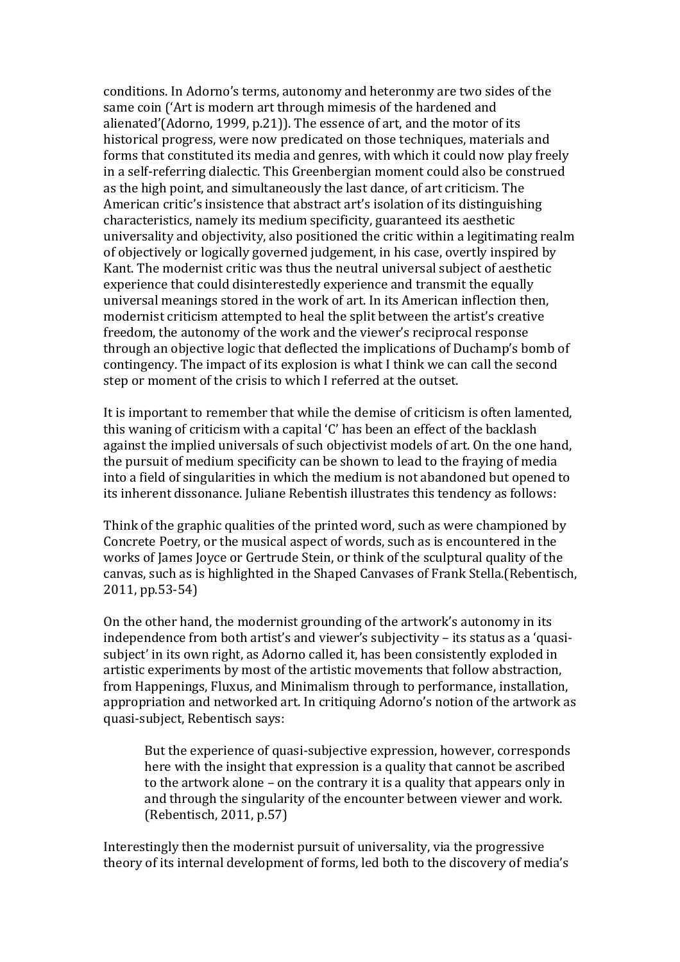conditions. In Adorno's terms, autonomy and heteronmy are two sides of the same coin ('Art is modern art through mimesis of the hardened and alienated'(Adorno, 1999, p.21)). The essence of art, and the motor of its historical progress, were now predicated on those techniques, materials and forms that constituted its media and genres, with which it could now play freely in a self-referring dialectic. This Greenbergian moment could also be construed as the high point, and simultaneously the last dance, of art criticism. The American critic's insistence that abstract art's isolation of its distinguishing characteristics, namely its medium specificity, guaranteed its aesthetic universality and objectivity, also positioned the critic within a legitimating realm of objectively or logically governed judgement, in his case, overtly inspired by Kant. The modernist critic was thus the neutral universal subject of aesthetic experience that could disinterestedly experience and transmit the equally universal meanings stored in the work of art. In its American inflection then, modernist criticism attempted to heal the split between the artist's creative freedom, the autonomy of the work and the viewer's reciprocal response through an objective logic that deflected the implications of Duchamp's bomb of contingency. The impact of its explosion is what I think we can call the second step or moment of the crisis to which I referred at the outset.

It is important to remember that while the demise of criticism is often lamented, this waning of criticism with a capital 'C' has been an effect of the backlash against the implied universals of such objectivist models of art. On the one hand, the pursuit of medium specificity can be shown to lead to the fraying of media into a field of singularities in which the medium is not abandoned but opened to its inherent dissonance. Juliane Rebentish illustrates this tendency as follows:

Think of the graphic qualities of the printed word, such as were championed by Concrete Poetry, or the musical aspect of words, such as is encountered in the works of James Joyce or Gertrude Stein, or think of the sculptural quality of the canvas, such as is highlighted in the Shaped Canvases of Frank Stella.(Rebentisch, 2011, pp.53-54)

On the other hand, the modernist grounding of the artwork's autonomy in its independence from both artist's and viewer's subjectivity – its status as a 'quasisubject' in its own right, as Adorno called it, has been consistently exploded in artistic experiments by most of the artistic movements that follow abstraction, from Happenings, Fluxus, and Minimalism through to performance, installation, appropriation and networked art. In critiquing Adorno's notion of the artwork as quasi-subject, Rebentisch says:

But the experience of quasi-subjective expression, however, corresponds here with the insight that expression is a quality that cannot be ascribed to the artwork alone – on the contrary it is a quality that appears only in and through the singularity of the encounter between viewer and work. (Rebentisch, 2011, p.57)

Interestingly then the modernist pursuit of universality, via the progressive theory of its internal development of forms, led both to the discovery of media's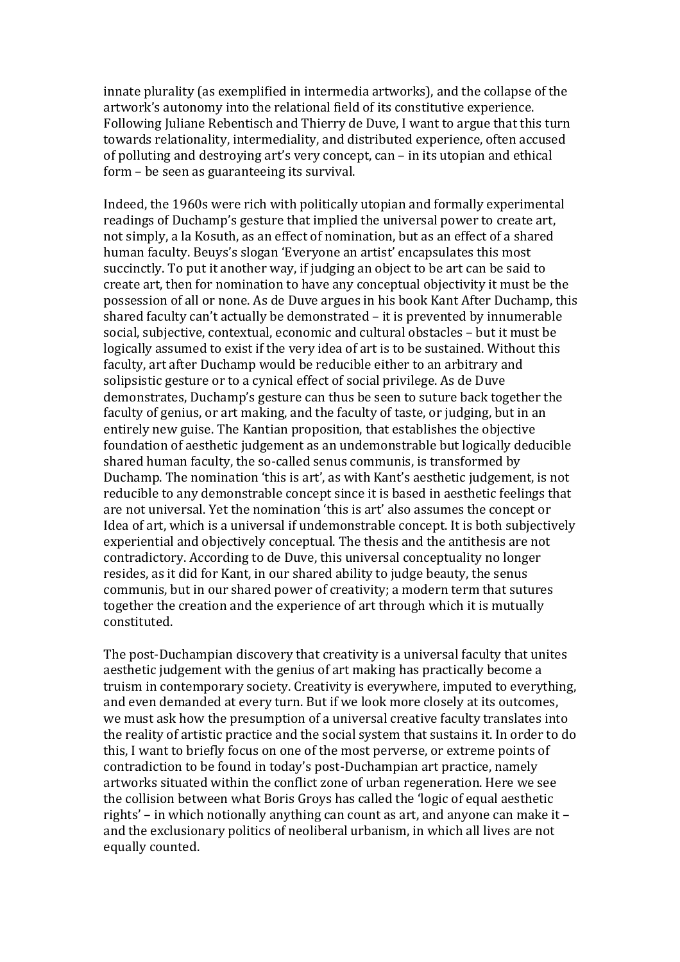innate plurality (as exemplified in intermedia artworks), and the collapse of the artwork's autonomy into the relational field of its constitutive experience. Following Juliane Rebentisch and Thierry de Duve, I want to argue that this turn towards relationality, intermediality, and distributed experience, often accused of polluting and destroying art's very concept, can – in its utopian and ethical form – be seen as guaranteeing its survival.

Indeed, the 1960s were rich with politically utopian and formally experimental readings of Duchamp's gesture that implied the universal power to create art, not simply, a la Kosuth, as an effect of nomination, but as an effect of a shared human faculty. Beuys's slogan 'Everyone an artist' encapsulates this most succinctly. To put it another way, if judging an object to be art can be said to create art, then for nomination to have any conceptual objectivity it must be the possession of all or none. As de Duve argues in his book Kant After Duchamp, this shared faculty can't actually be demonstrated – it is prevented by innumerable social, subjective, contextual, economic and cultural obstacles - but it must be logically assumed to exist if the very idea of art is to be sustained. Without this faculty, art after Duchamp would be reducible either to an arbitrary and solipsistic gesture or to a cynical effect of social privilege. As de Duve demonstrates. Duchamp's gesture can thus be seen to suture back together the faculty of genius, or art making, and the faculty of taste, or judging, but in an entirely new guise. The Kantian proposition, that establishes the objective foundation of aesthetic judgement as an undemonstrable but logically deducible shared human faculty, the so-called senus communis, is transformed by Duchamp. The nomination 'this is art', as with Kant's aesthetic judgement, is not reducible to any demonstrable concept since it is based in aesthetic feelings that are not universal. Yet the nomination 'this is art' also assumes the concept or Idea of art, which is a universal if undemonstrable concept. It is both subjectively experiential and objectively conceptual. The thesis and the antithesis are not contradictory. According to de Duve, this universal conceptuality no longer resides, as it did for Kant, in our shared ability to judge beauty, the senus communis, but in our shared power of creativity; a modern term that sutures together the creation and the experience of art through which it is mutually constituted.

The post-Duchampian discovery that creativity is a universal faculty that unites aesthetic judgement with the genius of art making has practically become a truism in contemporary society. Creativity is everywhere, imputed to everything. and even demanded at every turn. But if we look more closely at its outcomes, we must ask how the presumption of a universal creative faculty translates into the reality of artistic practice and the social system that sustains it. In order to do this, I want to briefly focus on one of the most perverse, or extreme points of contradiction to be found in today's post-Duchampian art practice, namely artworks situated within the conflict zone of urban regeneration. Here we see the collision between what Boris Groys has called the 'logic of equal aesthetic rights' – in which notionally anything can count as art, and anyone can make it – and the exclusionary politics of neoliberal urbanism, in which all lives are not equally counted.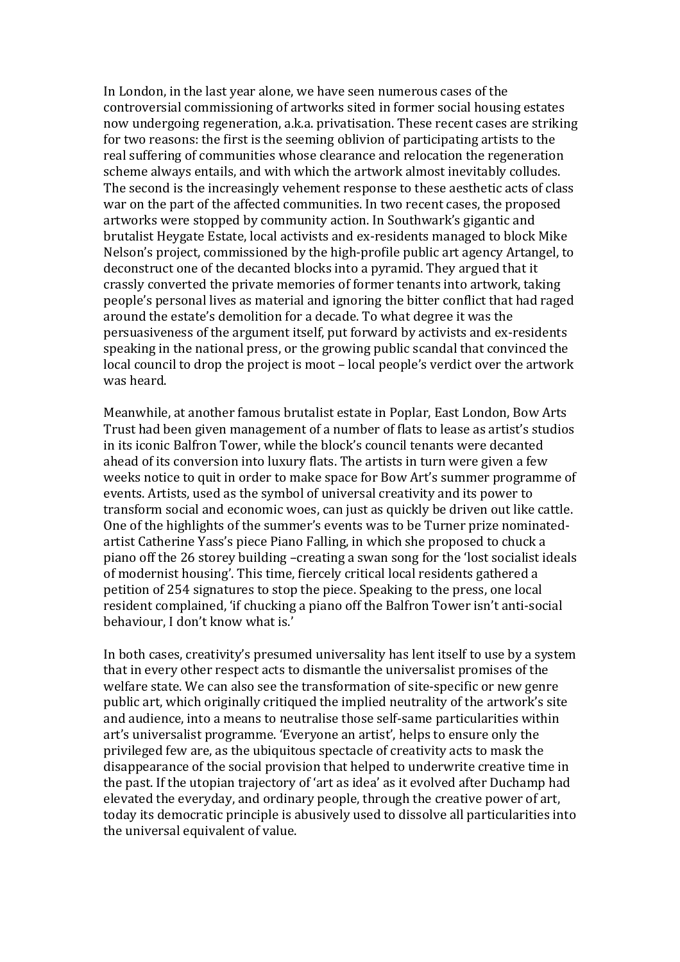In London, in the last year alone, we have seen numerous cases of the controversial commissioning of artworks sited in former social housing estates now undergoing regeneration, a.k.a. privatisation. These recent cases are striking for two reasons: the first is the seeming oblivion of participating artists to the real suffering of communities whose clearance and relocation the regeneration scheme always entails, and with which the artwork almost inevitably colludes. The second is the increasingly vehement response to these aesthetic acts of class war on the part of the affected communities. In two recent cases, the proposed artworks were stopped by community action. In Southwark's gigantic and brutalist Heygate Estate, local activists and ex-residents managed to block Mike Nelson's project, commissioned by the high-profile public art agency Artangel, to deconstruct one of the decanted blocks into a pyramid. They argued that it crassly converted the private memories of former tenants into artwork, taking people's personal lives as material and ignoring the bitter conflict that had raged around the estate's demolition for a decade. To what degree it was the persuasiveness of the argument itself, put forward by activists and ex-residents speaking in the national press, or the growing public scandal that convinced the local council to drop the project is moot – local people's verdict over the artwork was heard.

Meanwhile, at another famous brutalist estate in Poplar, East London, Bow Arts Trust had been given management of a number of flats to lease as artist's studios in its iconic Balfron Tower, while the block's council tenants were decanted ahead of its conversion into luxury flats. The artists in turn were given a few weeks notice to quit in order to make space for Bow Art's summer programme of events. Artists, used as the symbol of universal creativity and its power to transform social and economic woes, can just as quickly be driven out like cattle. One of the highlights of the summer's events was to be Turner prize nominatedartist Catherine Yass's piece Piano Falling, in which she proposed to chuck a piano off the 26 storey building –creating a swan song for the 'lost socialist ideals of modernist housing'. This time, fiercely critical local residents gathered a petition of 254 signatures to stop the piece. Speaking to the press, one local resident complained, 'if chucking a piano off the Balfron Tower isn't anti-social behaviour, I don't know what is.'

In both cases, creativity's presumed universality has lent itself to use by a system that in every other respect acts to dismantle the universalist promises of the welfare state. We can also see the transformation of site-specific or new genre public art, which originally critiqued the implied neutrality of the artwork's site and audience, into a means to neutralise those self-same particularities within art's universalist programme. 'Everyone an artist', helps to ensure only the privileged few are, as the ubiquitous spectacle of creativity acts to mask the disappearance of the social provision that helped to underwrite creative time in the past. If the utopian trajectory of 'art as idea' as it evolved after Duchamp had elevated the everyday, and ordinary people, through the creative power of art, today its democratic principle is abusively used to dissolve all particularities into the universal equivalent of value.